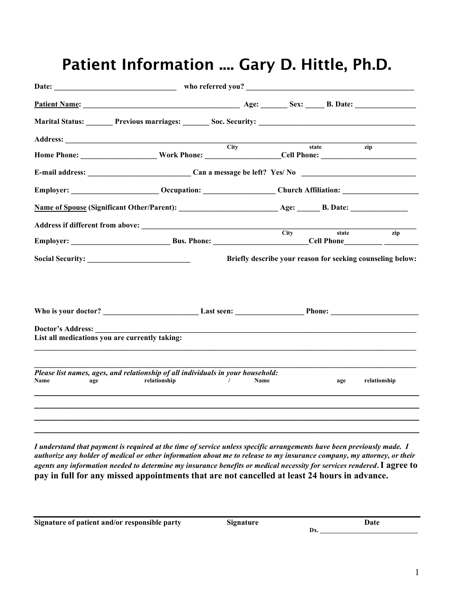|                                                | Address: City                                                                                                 |      |       |                                                            |
|------------------------------------------------|---------------------------------------------------------------------------------------------------------------|------|-------|------------------------------------------------------------|
|                                                | Home Phone: ______________________Work Phone: ___________________Cell Phone: ________________________________ |      | state | zip                                                        |
|                                                |                                                                                                               |      |       |                                                            |
|                                                | Employer: _______________________Occupation: __________________Church Affiliation: _________________          |      |       |                                                            |
|                                                |                                                                                                               |      |       |                                                            |
|                                                |                                                                                                               |      |       |                                                            |
|                                                |                                                                                                               |      |       |                                                            |
|                                                |                                                                                                               |      |       | Briefly describe your reason for seeking counseling below: |
|                                                |                                                                                                               |      |       |                                                            |
|                                                |                                                                                                               |      |       |                                                            |
|                                                |                                                                                                               |      |       |                                                            |
|                                                |                                                                                                               |      |       |                                                            |
| List all medications you are currently taking: |                                                                                                               |      |       |                                                            |
|                                                |                                                                                                               |      |       |                                                            |
| Name<br>age                                    | Please list names, ages, and relationship of all individuals in your household:<br>relationship<br>$\sqrt{2}$ | Name | age   | relationship                                               |
|                                                |                                                                                                               |      |       |                                                            |
|                                                |                                                                                                               |      |       |                                                            |
|                                                |                                                                                                               |      |       |                                                            |

## Patient Information .... Gary D. Hittle, Ph.D.

I understand that payment is required at the time of service unless specific arrangements have been previously made. I authorize any holder of medical or other information about me to release to my insurance company, my attorney, or their agents any information needed to determine my insurance benefits or medical necessity for services rendered. I agree to pay in full for any missed appointments that are not cancelled at least 24 hours in advance.

Signature of patient and/or responsible party Signature Signature Date

 $\mathbf{D}\mathbf{x}$ .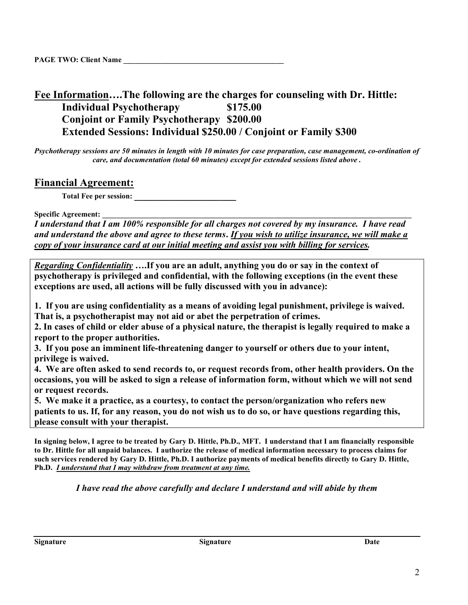## Fee Information….The following are the charges for counseling with Dr. Hittle: Individual Psychotherapy \$175.00 Conjoint or Family Psychotherapy \$200.00 Extended Sessions: Individual \$250.00 / Conjoint or Family \$300

Psychotherapy sessions are 50 minutes in length with 10 minutes for case preparation, case management, co-ordination of care, and documentation (total 60 minutes) except for extended sessions listed above .

## Financial Agreement:

Total Fee per session:

Specific Agreement:

I understand that I am 100% responsible for all charges not covered by my insurance. I have read and understand the above and agree to these terms. If you wish to utilize insurance, we will make a copy of your insurance card at our initial meeting and assist you with billing for services.

Regarding Confidentiality ....If you are an adult, anything you do or say in the context of psychotherapy is privileged and confidential, with the following exceptions (in the event these exceptions are used, all actions will be fully discussed with you in advance):

1. If you are using confidentiality as a means of avoiding legal punishment, privilege is waived. That is, a psychotherapist may not aid or abet the perpetration of crimes.

2. In cases of child or elder abuse of a physical nature, the therapist is legally required to make a report to the proper authorities.

3. If you pose an imminent life-threatening danger to yourself or others due to your intent, privilege is waived.

4. We are often asked to send records to, or request records from, other health providers. On the occasions, you will be asked to sign a release of information form, without which we will not send or request records.

5. We make it a practice, as a courtesy, to contact the person/organization who refers new patients to us. If, for any reason, you do not wish us to do so, or have questions regarding this, please consult with your therapist.

In signing below, I agree to be treated by Gary D. Hittle, Ph.D., MFT. I understand that I am financially responsible to Dr. Hittle for all unpaid balances. I authorize the release of medical information necessary to process claims for such services rendered by Gary D. Hittle, Ph.D. I authorize payments of medical benefits directly to Gary D. Hittle, Ph.D. I understand that I may withdraw from treatment at any time.

I have read the above carefully and declare I understand and will abide by them